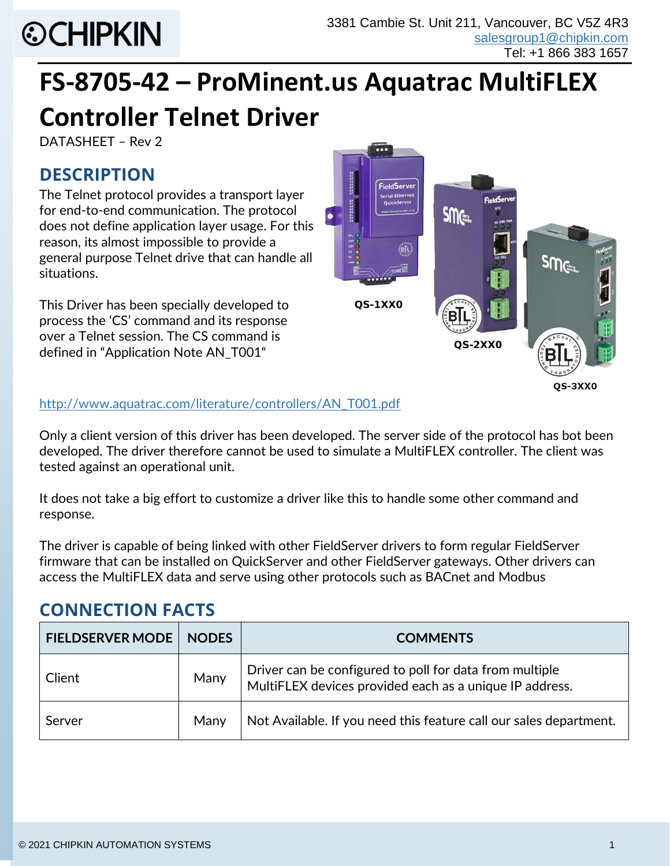# **©CHIPKIN**

# **FS-8705-42 – ProMinent.us Aquatrac MultiFLEX Controller Telnet Driver**

DATASHEET – Rev 2

# **DESCRIPTION**

The Telnet protocol provides a transport layer for end-to-end communication. The protocol does not define application layer usage. For this reason, its almost impossible to provide a general purpose Telnet drive that can handle all situations.

This Driver has been specially developed to process the 'CS' command and its response over a Telnet session. The CS command is defined in "Application Note AN\_T001"



[http://www.aquatrac.com/literature/controllers/AN\\_T001.pdf](http://www.aquatrac.com/literature/controllers/AN_T001.pdf)

Only a client version of this driver has been developed. The server side of the protocol has bot been developed. The driver therefore cannot be used to simulate a MultiFLEX controller. The client was tested against an operational unit.

It does not take a big effort to customize a driver like this to handle some other command and response.

The driver is capable of being linked with other FieldServer drivers to form regular FieldServer firmware that can be installed on QuickServer and other FieldServer gateways. Other drivers can access the MultiFLEX data and serve using other protocols such as BACnet and Modbus

# **CONNECTION FACTS**

| <b>FIELDSERVER MODE</b> | <b>NODES</b> | <b>COMMENTS</b>                                                                                                    |
|-------------------------|--------------|--------------------------------------------------------------------------------------------------------------------|
| Client                  | Many         | Driver can be configured to poll for data from multiple<br>MultiFLEX devices provided each as a unique IP address. |
| Server                  | Many         | Not Available. If you need this feature call our sales department.                                                 |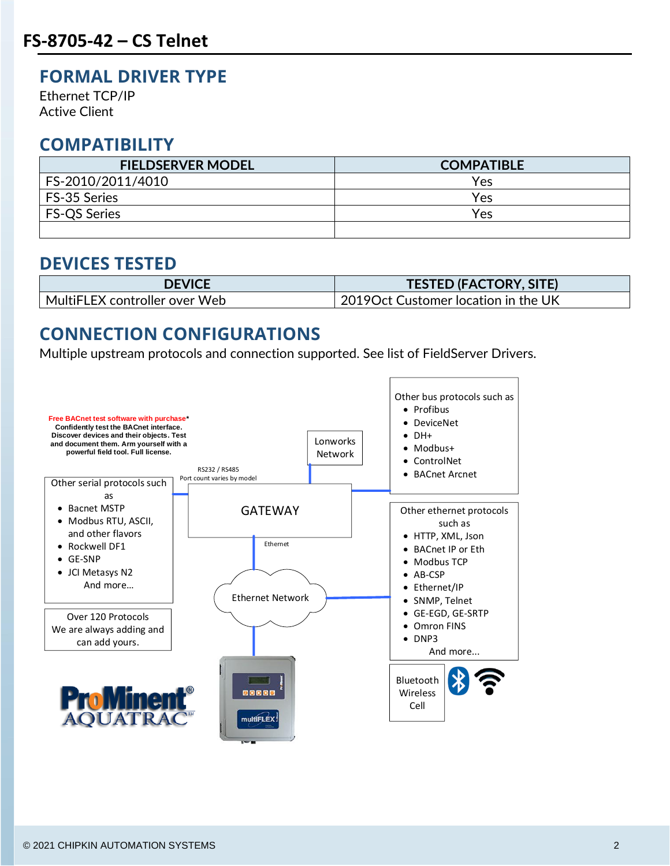#### **FORMAL DRIVER TYPE**

Ethernet TCP/IP Active Client

#### **COMPATIBILITY**

| <b>FIELDSERVER MODEL</b> | <b>COMPATIBLE</b> |
|--------------------------|-------------------|
| FS-2010/2011/4010        | Yes               |
| FS-35 Series             | Yes               |
| FS-QS Series             | Yes               |
|                          |                   |

#### **DEVICES TESTED**

| <b>DEVICE</b>                    | <b>TESTED (FACTORY, SITE)</b>                 |
|----------------------------------|-----------------------------------------------|
| MultiFLEX controller over Web! • | $^\prime$ 2019Oct Customer location in the UK |

### **CONNECTION CONFIGURATIONS**

Multiple upstream protocols and connection supported. See list of FieldServer Drivers.

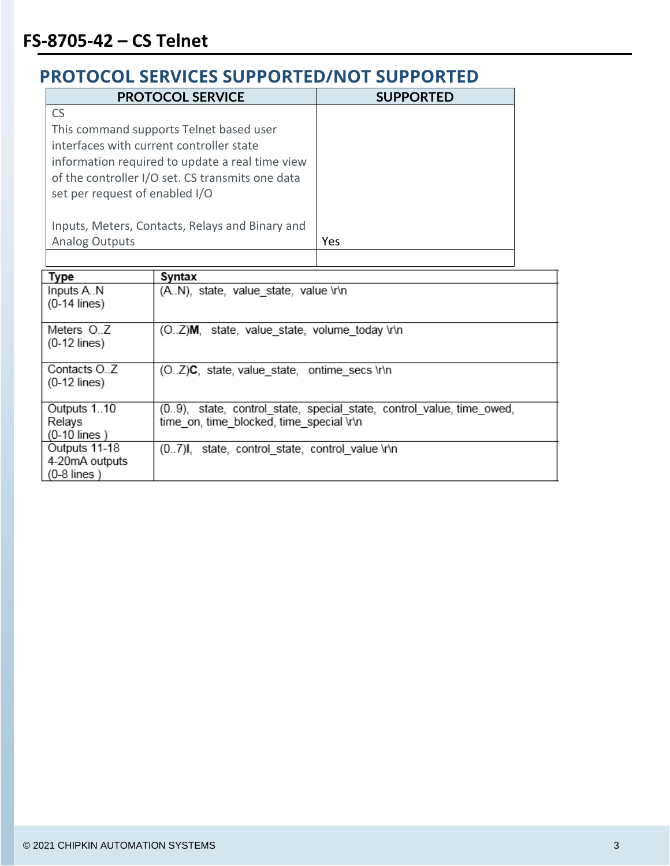$(0-12$  lines)

 $(0-12$  lines)

Relays  $(0-10$  lines) Outputs 11-18

Contacts O.Z

Outputs 1..10

4-20mA outputs  $(0-8$  lines)

| PROTOCOL SERVICES SUPPORTED/NOT SUPPORTED |                                                          |                  |  |  |
|-------------------------------------------|----------------------------------------------------------|------------------|--|--|
|                                           | <b>PROTOCOL SERVICE</b>                                  | <b>SUPPORTED</b> |  |  |
| <b>CS</b>                                 |                                                          |                  |  |  |
|                                           | This command supports Telnet based user                  |                  |  |  |
|                                           | interfaces with current controller state                 |                  |  |  |
|                                           | information required to update a real time view          |                  |  |  |
|                                           | of the controller I/O set. CS transmits one data         |                  |  |  |
| set per request of enabled I/O            |                                                          |                  |  |  |
|                                           |                                                          |                  |  |  |
|                                           | Inputs, Meters, Contacts, Relays and Binary and          |                  |  |  |
| <b>Analog Outputs</b>                     |                                                          | Yes              |  |  |
|                                           |                                                          |                  |  |  |
| Type                                      | Syntax                                                   |                  |  |  |
| Inputs A.N                                | (A.N), state, value state, value \r\n                    |                  |  |  |
| $(0-14$ lines)                            |                                                          |                  |  |  |
| Meters O.Z                                | state, value state, volume today \r\n<br>(OZ) <b>M</b> , |                  |  |  |

(O..Z)C, state, value\_state, ontime\_secs \r\n

(0.7)I, state, control state, control value \r\n

time on, time blocked, time special \r\n

(0.9), state, control\_state, special\_state, control\_value, time\_owed,

# **PROTOCOL SERVICES SUPPORTED/NOT SUPPORTED**